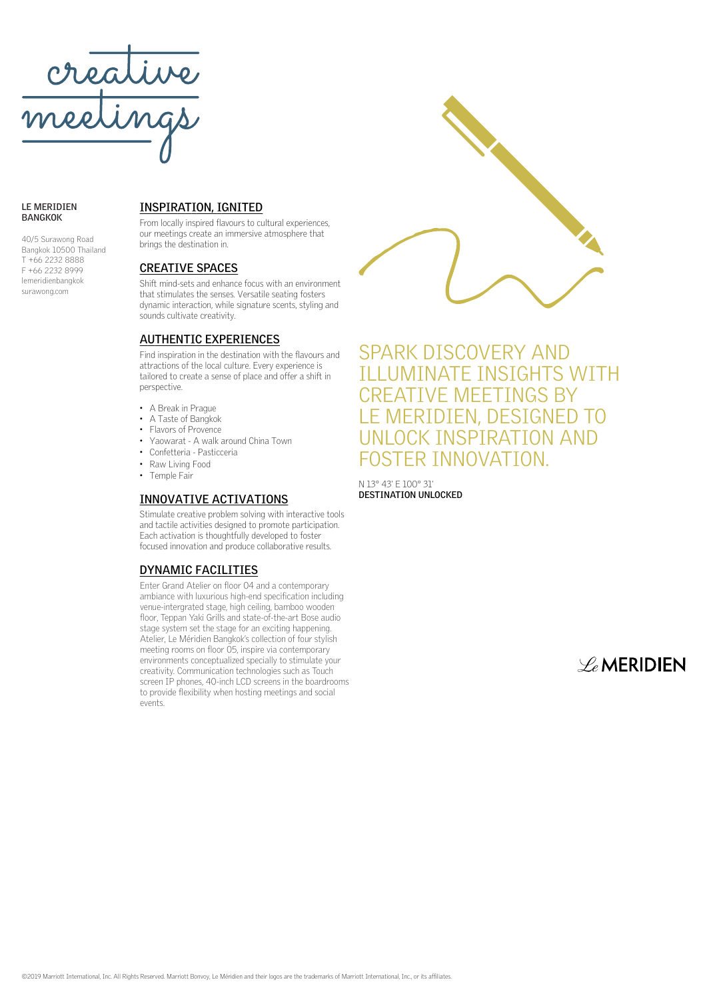

#### **LE MERIDIEN BANGKOK**

40/5 Surawong Road Bangkok 10500 Thailand T +66 2232 8888 F +66 2232 8999 lemeridienbangkok surawong.com

### **INSPIRATION, IGNITED**

From locally inspired flavours to cultural experiences, our meetings create an immersive atmosphere that brings the destination in.

#### **CREATIVE SPACES**

Shift mind-sets and enhance focus with an environment that stimulates the senses. Versatile seating fosters dynamic interaction, while signature scents, styling and sounds cultivate creativity.

### **AUTHENTIC EXPERIENCES**

Find inspiration in the destination with the flavours and attractions of the local culture. Every experience is tailored to create a sense of place and offer a shift in perspective.

- A Break in Prague
- A Taste of Bangkok
- Flavors of Provence
- Yaowarat A walk around China Town
- Confetteria Pasticceria
- Raw Living Food
- Temple Fair

#### **INNOVATIVE ACTIVATIONS**

Stimulate creative problem solving with interactive tools and tactile activities designed to promote participation. Each activation is thoughtfully developed to foster focused innovation and produce collaborative results.

### **DYNAMIC FACILITIES**

Enter Grand Atelier on floor 04 and a contemporary ambiance with luxurious high-end specification including venue-intergrated stage, high ceiling, bamboo wooden floor, Teppan Yaki Grills and state-of-the-art Bose audio stage system set the stage for an exciting happening. Atelier, Le Méridien Bangkok's collection of four stylish meeting rooms on floor 05, inspire via contemporary environments conceptualized specially to stimulate your creativity. Communication technologies such as Touch screen IP phones, 40-inch LCD screens in the boardrooms to provide flexibility when hosting meetings and social events.



SPARK DISCOVERY AND ILLUMINATE INSIGHTS WITH CREATIVE MEETINGS BY LE MERIDIEN, DESIGNED TO UNLOCK INSPIRATION AND FOSTER INNOVATION.

N 13° 43' E 100° 31' **DESTINATION UNLOCKED**

 $\mathscr{L}_{e}$ MERIDIEN